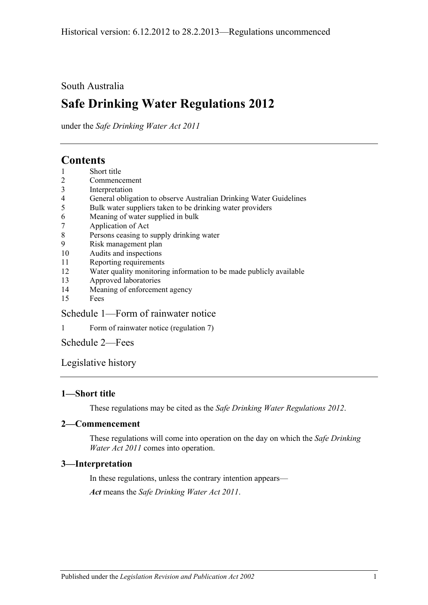## South Australia

# **Safe Drinking Water Regulations 2012**

under the *Safe Drinking Water Act 2011*

## **Contents**

- 1 [Short title](#page-0-0)
- 2 [Commencement](#page-0-1)
- 3 [Interpretation](#page-0-2)
- 4 [General obligation to observe Australian Drinking Water Guidelines](#page-1-0)
- 5 [Bulk water suppliers taken to be drinking water providers](#page-1-1)
- 6 [Meaning of water supplied in bulk](#page-1-2)
- 7 [Application of Act](#page-1-3)
- 8 [Persons ceasing to supply drinking water](#page-3-0)
- 9 [Risk management plan](#page-3-1)
- 10 [Audits and inspections](#page-4-0)
- 11 [Reporting requirements](#page-5-0)
- 12 [Water quality monitoring information to be made publicly available](#page-5-1)
- 13 [Approved laboratories](#page-5-2)
- 14 [Meaning of enforcement agency](#page-5-3)
- 15 [Fees](#page-5-4)

## Schedule [1—Form of rainwater notice](#page-6-0)

1 [Form of rainwater notice \(regulation](#page-6-1) 7)

[Schedule](#page-6-2) 2—Fees

## [Legislative history](#page-7-0)

#### <span id="page-0-0"></span>**1—Short title**

These regulations may be cited as the *Safe Drinking Water Regulations 2012*.

## <span id="page-0-1"></span>**2—Commencement**

These regulations will come into operation on the day on which the *[Safe Drinking](http://www.legislation.sa.gov.au/index.aspx?action=legref&type=act&legtitle=Safe%20Drinking%20Water%20Act%202011)  [Water Act](http://www.legislation.sa.gov.au/index.aspx?action=legref&type=act&legtitle=Safe%20Drinking%20Water%20Act%202011) 2011* comes into operation.

## <span id="page-0-2"></span>**3—Interpretation**

In these regulations, unless the contrary intention appears—

*Act* means the *[Safe Drinking Water Act](http://www.legislation.sa.gov.au/index.aspx?action=legref&type=act&legtitle=Safe%20Drinking%20Water%20Act%202011) 2011*.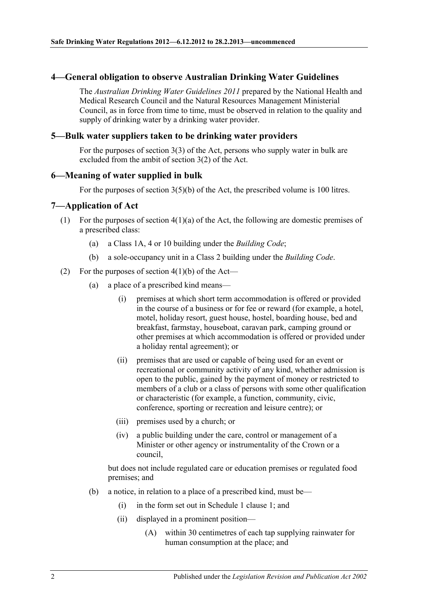#### <span id="page-1-0"></span>**4—General obligation to observe Australian Drinking Water Guidelines**

The *Australian Drinking Water Guidelines 2011* prepared by the National Health and Medical Research Council and the Natural Resources Management Ministerial Council, as in force from time to time, must be observed in relation to the quality and supply of drinking water by a drinking water provider.

#### <span id="page-1-1"></span>**5—Bulk water suppliers taken to be drinking water providers**

For the purposes of section 3(3) of the Act, persons who supply water in bulk are excluded from the ambit of section 3(2) of the Act.

#### <span id="page-1-2"></span>**6—Meaning of water supplied in bulk**

For the purposes of section 3(5)(b) of the Act, the prescribed volume is 100 litres.

#### <span id="page-1-3"></span>**7—Application of Act**

- (1) For the purposes of section 4(1)(a) of the Act, the following are domestic premises of a prescribed class:
	- (a) a Class 1A, 4 or 10 building under the *Building Code*;
	- (b) a sole-occupancy unit in a Class 2 building under the *Building Code*.
- (2) For the purposes of section  $4(1)(b)$  of the Act—
	- (a) a place of a prescribed kind means—
		- (i) premises at which short term accommodation is offered or provided in the course of a business or for fee or reward (for example, a hotel, motel, holiday resort, guest house, hostel, boarding house, bed and breakfast, farmstay, houseboat, caravan park, camping ground or other premises at which accommodation is offered or provided under a holiday rental agreement); or
		- (ii) premises that are used or capable of being used for an event or recreational or community activity of any kind, whether admission is open to the public, gained by the payment of money or restricted to members of a club or a class of persons with some other qualification or characteristic (for example, a function, community, civic, conference, sporting or recreation and leisure centre); or
		- (iii) premises used by a church; or
		- (iv) a public building under the care, control or management of a Minister or other agency or instrumentality of the Crown or a council,

but does not include regulated care or education premises or regulated food premises; and

- (b) a notice, in relation to a place of a prescribed kind, must be—
	- (i) in the form set out in [Schedule](#page-6-1) 1 clause 1; and
	- (ii) displayed in a prominent position—
		- (A) within 30 centimetres of each tap supplying rainwater for human consumption at the place; and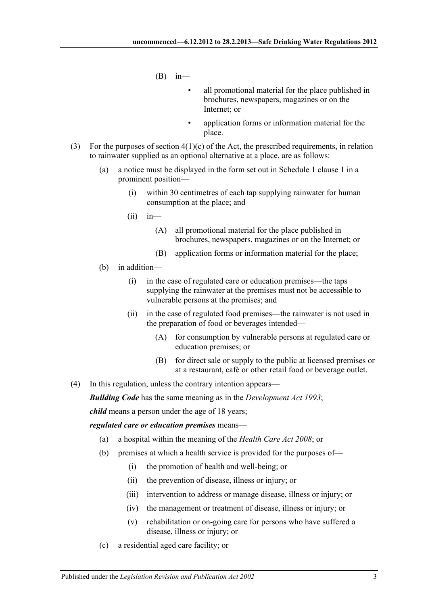- $(B)$  in—
	- all promotional material for the place published in brochures, newspapers, magazines or on the Internet; or
	- application forms or information material for the place.
- (3) For the purposes of section  $4(1)(c)$  of the Act, the prescribed requirements, in relation to rainwater supplied as an optional alternative at a place, are as follows:
	- (a) a notice must be displayed in the form set out in [Schedule](#page-6-1) 1 clause 1 in a prominent position—
		- (i) within 30 centimetres of each tap supplying rainwater for human consumption at the place; and
		- $(ii)$  in—
			- (A) all promotional material for the place published in brochures, newspapers, magazines or on the Internet; or
			- (B) application forms or information material for the place;
	- (b) in addition—
		- (i) in the case of regulated care or education premises—the taps supplying the rainwater at the premises must not be accessible to vulnerable persons at the premises; and
		- (ii) in the case of regulated food premises—the rainwater is not used in the preparation of food or beverages intended—
			- (A) for consumption by vulnerable persons at regulated care or education premises; or
			- (B) for direct sale or supply to the public at licensed premises or at a restaurant, café or other retail food or beverage outlet.
- (4) In this regulation, unless the contrary intention appears—

*Building Code* has the same meaning as in the *[Development Act](http://www.legislation.sa.gov.au/index.aspx?action=legref&type=act&legtitle=Development%20Act%201993) 1993*;

*child* means a person under the age of 18 years;

#### <span id="page-2-0"></span>*regulated care or education premises* means—

- (a) a hospital within the meaning of the *[Health Care Act](http://www.legislation.sa.gov.au/index.aspx?action=legref&type=act&legtitle=Health%20Care%20Act%202008) 2008*; or
- (b) premises at which a health service is provided for the purposes of—
	- (i) the promotion of health and well-being; or
	- (ii) the prevention of disease, illness or injury; or
	- (iii) intervention to address or manage disease, illness or injury; or
	- (iv) the management or treatment of disease, illness or injury; or
	- (v) rehabilitation or on-going care for persons who have suffered a disease, illness or injury; or
- (c) a residential aged care facility; or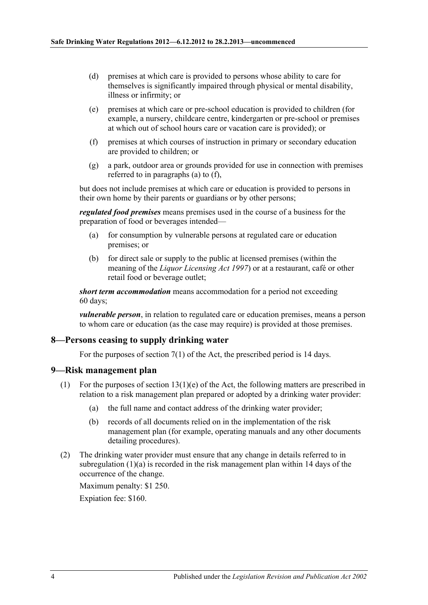- (d) premises at which care is provided to persons whose ability to care for themselves is significantly impaired through physical or mental disability, illness or infirmity; or
- (e) premises at which care or pre-school education is provided to children (for example, a nursery, childcare centre, kindergarten or pre-school or premises at which out of school hours care or vacation care is provided); or
- <span id="page-3-2"></span>(f) premises at which courses of instruction in primary or secondary education are provided to children; or
- (g) a park, outdoor area or grounds provided for use in connection with premises referred to in [paragraphs](#page-2-0) (a) to [\(f\),](#page-3-2)

but does not include premises at which care or education is provided to persons in their own home by their parents or guardians or by other persons;

*regulated food premises* means premises used in the course of a business for the preparation of food or beverages intended—

- (a) for consumption by vulnerable persons at regulated care or education premises; or
- (b) for direct sale or supply to the public at licensed premises (within the meaning of the *[Liquor Licensing Act](http://www.legislation.sa.gov.au/index.aspx?action=legref&type=act&legtitle=Liquor%20Licensing%20Act%201997) 1997*) or at a restaurant, café or other retail food or beverage outlet;

*short term accommodation* means accommodation for a period not exceeding 60 days;

*vulnerable person*, in relation to regulated care or education premises, means a person to whom care or education (as the case may require) is provided at those premises.

#### <span id="page-3-0"></span>**8—Persons ceasing to supply drinking water**

For the purposes of section 7(1) of the Act, the prescribed period is 14 days.

#### <span id="page-3-1"></span>**9—Risk management plan**

- <span id="page-3-3"></span>(1) For the purposes of section  $13(1)(e)$  of the Act, the following matters are prescribed in relation to a risk management plan prepared or adopted by a drinking water provider:
	- (a) the full name and contact address of the drinking water provider;
	- (b) records of all documents relied on in the implementation of the risk management plan (for example, operating manuals and any other documents detailing procedures).
- (2) The drinking water provider must ensure that any change in details referred to in [subregulation](#page-3-3) (1)(a) is recorded in the risk management plan within 14 days of the occurrence of the change.

Maximum penalty: \$1 250.

Expiation fee: \$160.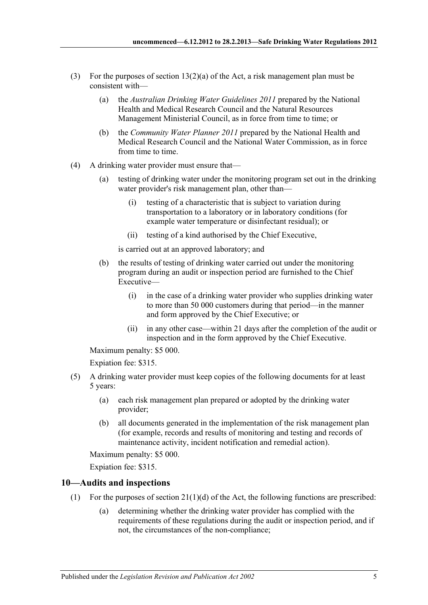- (3) For the purposes of section  $13(2)(a)$  of the Act, a risk management plan must be consistent with—
	- (a) the *Australian Drinking Water Guidelines 2011* prepared by the National Health and Medical Research Council and the Natural Resources Management Ministerial Council, as in force from time to time; or
	- (b) the *Community Water Planner 2011* prepared by the National Health and Medical Research Council and the National Water Commission, as in force from time to time.
- (4) A drinking water provider must ensure that—
	- (a) testing of drinking water under the monitoring program set out in the drinking water provider's risk management plan, other than—
		- (i) testing of a characteristic that is subject to variation during transportation to a laboratory or in laboratory conditions (for example water temperature or disinfectant residual); or
		- (ii) testing of a kind authorised by the Chief Executive,

is carried out at an approved laboratory; and

- (b) the results of testing of drinking water carried out under the monitoring program during an audit or inspection period are furnished to the Chief Executive—
	- (i) in the case of a drinking water provider who supplies drinking water to more than 50 000 customers during that period—in the manner and form approved by the Chief Executive; or
	- (ii) in any other case—within 21 days after the completion of the audit or inspection and in the form approved by the Chief Executive.

Maximum penalty: \$5 000.

Expiation fee: \$315.

- (5) A drinking water provider must keep copies of the following documents for at least 5 years:
	- (a) each risk management plan prepared or adopted by the drinking water provider;
	- (b) all documents generated in the implementation of the risk management plan (for example, records and results of monitoring and testing and records of maintenance activity, incident notification and remedial action).

Maximum penalty: \$5 000.

Expiation fee: \$315.

## <span id="page-4-1"></span><span id="page-4-0"></span>**10—Audits and inspections**

- (1) For the purposes of section  $21(1)(d)$  of the Act, the following functions are prescribed:
	- (a) determining whether the drinking water provider has complied with the requirements of these regulations during the audit or inspection period, and if not, the circumstances of the non-compliance;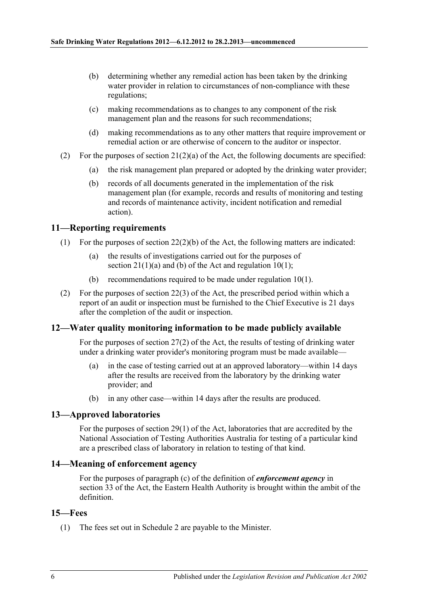- (b) determining whether any remedial action has been taken by the drinking water provider in relation to circumstances of non-compliance with these regulations;
- (c) making recommendations as to changes to any component of the risk management plan and the reasons for such recommendations;
- (d) making recommendations as to any other matters that require improvement or remedial action or are otherwise of concern to the auditor or inspector.
- (2) For the purposes of section  $21(2)(a)$  of the Act, the following documents are specified:
	- (a) the risk management plan prepared or adopted by the drinking water provider;
	- (b) records of all documents generated in the implementation of the risk management plan (for example, records and results of monitoring and testing and records of maintenance activity, incident notification and remedial action).

### <span id="page-5-0"></span>**11—Reporting requirements**

- (1) For the purposes of section  $22(2)(b)$  of the Act, the following matters are indicated:
	- (a) the results of investigations carried out for the purposes of section 21(1)(a) and (b) of the Act and [regulation](#page-4-1) 10(1);
	- (b) recommendations required to be made under [regulation](#page-4-1) 10(1).
- (2) For the purposes of section 22(3) of the Act, the prescribed period within which a report of an audit or inspection must be furnished to the Chief Executive is 21 days after the completion of the audit or inspection.

#### <span id="page-5-1"></span>**12—Water quality monitoring information to be made publicly available**

For the purposes of section 27(2) of the Act, the results of testing of drinking water under a drinking water provider's monitoring program must be made available—

- (a) in the case of testing carried out at an approved laboratory—within 14 days after the results are received from the laboratory by the drinking water provider; and
- (b) in any other case—within 14 days after the results are produced.

#### <span id="page-5-2"></span>**13—Approved laboratories**

For the purposes of section 29(1) of the Act, laboratories that are accredited by the National Association of Testing Authorities Australia for testing of a particular kind are a prescribed class of laboratory in relation to testing of that kind.

#### <span id="page-5-3"></span>**14—Meaning of enforcement agency**

For the purposes of paragraph (c) of the definition of *enforcement agency* in section 33 of the Act, the Eastern Health Authority is brought within the ambit of the definition.

#### <span id="page-5-4"></span>**15—Fees**

(1) The fees set out in [Schedule](#page-6-2) 2 are payable to the Minister.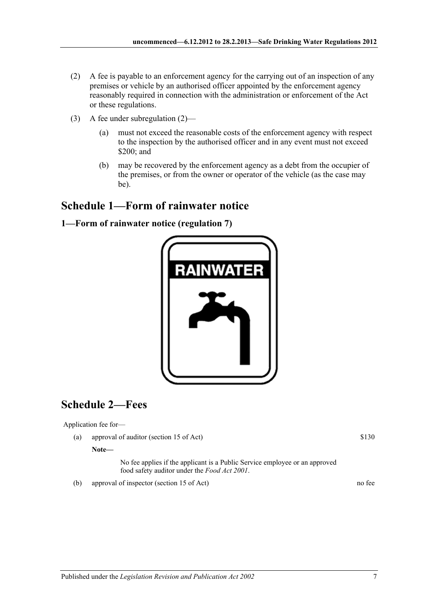- <span id="page-6-3"></span>(2) A fee is payable to an enforcement agency for the carrying out of an inspection of any premises or vehicle by an authorised officer appointed by the enforcement agency reasonably required in connection with the administration or enforcement of the Act or these regulations.
- (3) A fee under [subregulation](#page-6-3)  $(2)$ 
	- (a) must not exceed the reasonable costs of the enforcement agency with respect to the inspection by the authorised officer and in any event must not exceed \$200; and
	- (b) may be recovered by the enforcement agency as a debt from the occupier of the premises, or from the owner or operator of the vehicle (as the case may be).

## <span id="page-6-0"></span>**Schedule 1—Form of rainwater notice**

### <span id="page-6-1"></span>**1—Form of rainwater notice [\(regulation](#page-1-3) 7)**



## <span id="page-6-2"></span>**Schedule 2—Fees**

Application fee for—

(a) approval of auditor (section 15 of Act)

**Note—**

No fee applies if the applicant is a Public Service employee or an approved food safety auditor under the *[Food Act](http://www.legislation.sa.gov.au/index.aspx?action=legref&type=act&legtitle=Food%20Act%202001) 2001*.

(b) approval of inspector (section 15 of Act) no fee

\$130